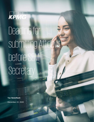

# Deadline for submitting Affidavit before SEM Secretary

© 2020 KPMG, una sociedad civil panameña y firma de la red de firmas miembro independientes de KPMG, afiliadas a KPMG International

Cooperative ("KPMG International"), una entidad suiza. Derechos reservados.

**Tax Newsflash** December 22, 2020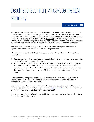### Deadline for submitting Affidavit before SEM **Secretary**

Through Executive Decree No. 241 of 16 September 2020, the Executive Branch regulated the annual reporting requirement for companies holding a SEM License (SEM Companies). SEM Companies are subject to the annual reporting requirement before the Technical Secretary of the Commission of Headquarters Regime License (Secretary) and must comply before 31 December 2020. The reporting requirement must be fulfilled by presenting an Affidavit following the form available in the Secretary's website and attached hereto for immediate reference.

Leer [versión web](https://home.kpmg/pa/es/home/insights/2020/12/ci-vence-plazo-presentacion-declaracion-jurada-ante-sem) 

C

The Affidavit has two sections: **(i) Section I – General Information; and (ii) Section II – Specific Information related to the Substance Requirements.** 

#### **We want to reiterate that SEM Companies must present the Affidavit following these parameters:**

- 1. SEM Companies holding a SEM License issued before 17 October 2017, are only required to complete Section I – General Information.
- 2. SEM Companies holding a SEM License issued after 17 October 2017, or SEM Companies that added an activity to their SEM License after 17 October 2017, must complete both Section I and Section II, and Appendixes thereto. These SEM Companies are subject to the Substance Requirement from fiscal year 2019, or from the moment a new activity was added.

In addition to presenting the Affidavit, SEM Companies must attach their Audited Financial Statements for fiscal year 2019. Moreover, SEM Companies must present the Affidavit endorsed by a Certified Public Acountant.

Prior to the presentation of the Affidavit before the Secretary, the document must be send in Word format via email to the following email address: [sem@mici.gob.pa.](mailto:sem@mici.gob.pa) The original version of the Affidavit must be presented before 31 December 2020.

Should you require further information or clarifications, please contact your Manager, Director or Partner from our Tax Services team.